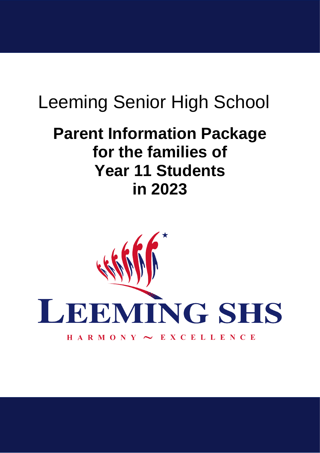# Leeming Senior High School

# **Parent Information Package for the families of Year 11 Students in 2023**

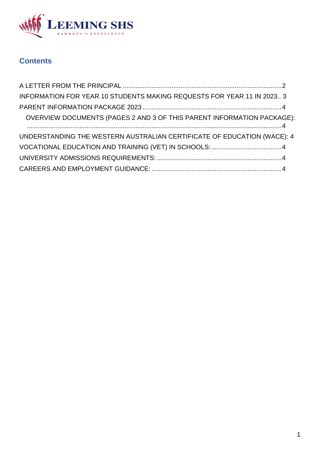

# **Contents**

<span id="page-1-0"></span>

| INFORMATION FOR YEAR 10 STUDENTS MAKING REQUESTS FOR YEAR 11 IN 2023 3  |  |
|-------------------------------------------------------------------------|--|
|                                                                         |  |
| OVERVIEW DOCUMENTS (PAGES 2 AND 3 OF THIS PARENT INFORMATION PACKAGE):  |  |
| UNDERSTANDING THE WESTERN AUSTRALIAN CERTIFICATE OF EDUCATION (WACE): 4 |  |
|                                                                         |  |
|                                                                         |  |
|                                                                         |  |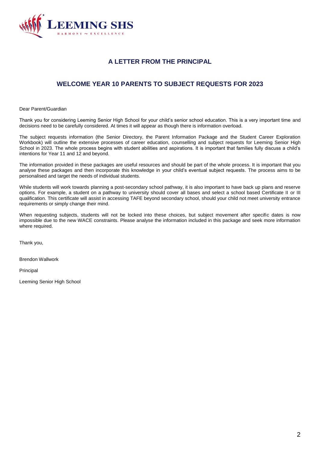

## **A LETTER FROM THE PRINCIPAL**

## **WELCOME YEAR 10 PARENTS TO SUBJECT REQUESTS FOR 2023**

Dear Parent/Guardian

Thank you for considering Leeming Senior High School for your child's senior school education. This is a very important time and decisions need to be carefully considered. At times it will appear as though there is information overload.

The subject requests information (the Senior Directory, the Parent Information Package and the Student Career Exploration Workbook) will outline the extensive processes of career education, counselling and subject requests for Leeming Senior High School in 2023. The whole process begins with student abilities and aspirations. It is important that families fully discuss a child's intentions for Year 11 and 12 and beyond.

The information provided in these packages are useful resources and should be part of the whole process. It is important that you analyse these packages and then incorporate this knowledge in your child's eventual subject requests. The process aims to be personalised and target the needs of individual students.

While students will work towards planning a post-secondary school pathway, it is also important to have back up plans and reserve options. For example, a student on a pathway to university should cover all bases and select a school based Certificate II or III qualification. This certificate will assist in accessing TAFE beyond secondary school, should your child not meet university entrance requirements or simply change their mind.

When requesting subjects, students will not be locked into these choices, but subject movement after specific dates is now impossible due to the new WACE constraints. Please analyse the information included in this package and seek more information where required.

Thank you,

Brendon Wallwork

Principal

Leeming Senior High School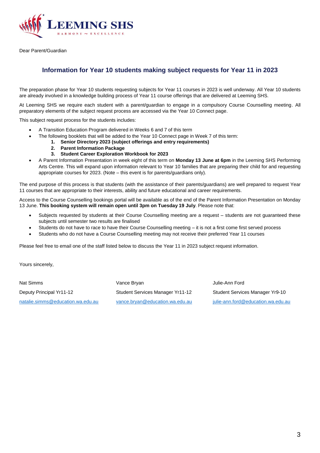

<span id="page-3-0"></span>Dear Parent/Guardian

## **Information for Year 10 students making subject requests for Year 11 in 2023**

The preparation phase for Year 10 students requesting subjects for Year 11 courses in 2023 is well underway. All Year 10 students are already involved in a knowledge building process of Year 11 course offerings that are delivered at Leeming SHS.

At Leeming SHS we require each student with a parent/guardian to engage in a compulsory Course Counselling meeting. All preparatory elements of the subject request process are accessed via the Year 10 Connect page.

This subject request process for the students includes:

- A Transition Education Program delivered in Weeks 6 and 7 of this term
- The following booklets that will be added to the Year 10 Connect page in Week 7 of this term:
	- **1. Senior Directory 2023 (subject offerings and entry requirements)**
		- **2. Parent Information Package**
		- **3. Student Career Exploration Workbook for 2023**
- A Parent Information Presentation in week eight of this term on **Monday 13 June at 6pm** in the Leeming SHS Performing Arts Centre. This will expand upon information relevant to Year 10 families that are preparing their child for and requesting appropriate courses for 2023. (Note – this event is for parents/guardians only).

The end purpose of this process is that students (with the assistance of their parents/guardians) are well prepared to request Year 11 courses that are appropriate to their interests, ability and future educational and career requirements.

Access to the Course Counselling bookings portal will be available as of the end of the Parent Information Presentation on Monday 13 June. **This booking system will remain open until 3pm on Tuesday 19 July**. Please note that:

- Subjects requested by students at their Course Counselling meeting are a request students are not guaranteed these subjects until semester two results are finalised
- Students do not have to race to have their Course Counselling meeting it is not a first come first served process
- Students who do not have a Course Counselling meeting may not receive their preferred Year 11 courses

Please feel free to email one of the staff listed below to discuss the Year 11 in 2023 subject request information.

Yours sincerely,

<span id="page-3-1"></span>Nat Simms **Vance Bryan Julie-Ann Ford** Vance Bryan **Julie-Ann Ford** Deputy Principal Yr11-12 Student Services Manager Yr11-12 Student Services Manager Yr9-10 [natalie.simms@education.wa.edu.au](mailto:natalie.simms@education.wa.edu.au) [vance.bryan@education.wa.edu.au](mailto:vance.bryan@education.wa.edu.au) [julie-ann.ford@education.wa.edu.au](mailto:julie-ann.ford@education.wa.edu.au)